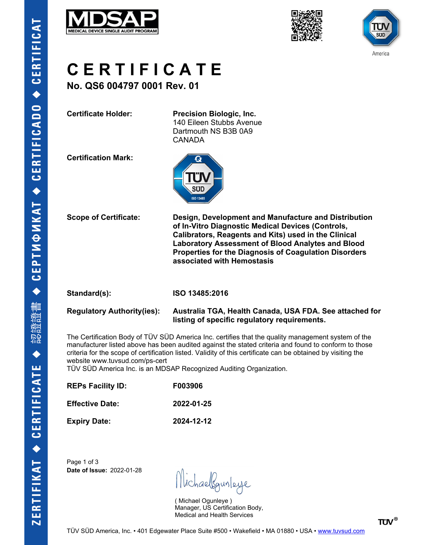





# **C E R T I F I C A T E**

**No. QS6 004797 0001 Rev. 01**

**Certificate Holder: Precision Biologic, Inc.** 140 Eileen Stubbs Avenue Dartmouth NS B3B 0A9 CANADA

**Certification Mark:**



**Scope of Certificate: Design, Development and Manufacture and Distribution of In-Vitro Diagnostic Medical Devices (Controls, Calibrators, Reagents and Kits) used in the Clinical Laboratory Assessment of Blood Analytes and Blood Properties for the Diagnosis of Coagulation Disorders associated with Hemostasis**

#### **Standard(s): ISO 13485:2016**

#### **Regulatory Authority(ies): Australia TGA, Health Canada, USA FDA. See attached for listing of specific regulatory requirements.**

The Certification Body of TÜV SÜD America Inc. certifies that the quality management system of the manufacturer listed above has been audited against the stated criteria and found to conform to those criteria for the scope of certification listed. Validity of this certificate can be obtained by visiting the website www.tuvsud.com/ps-cert

TÜV SÜD America Inc. is an MDSAP Recognized Auditing Organization.

| <b>REPs Facility ID:</b><br><b>Effective Date:</b> | F003906<br>2022-01-25 |
|----------------------------------------------------|-----------------------|
|                                                    |                       |

Page 1 of 3 **Date of Issue:** 2022-01-28

lichaelgunleye

( Michael Ogunleye ) Manager, US Certification Body, Medical and Health Services

**TÜV®**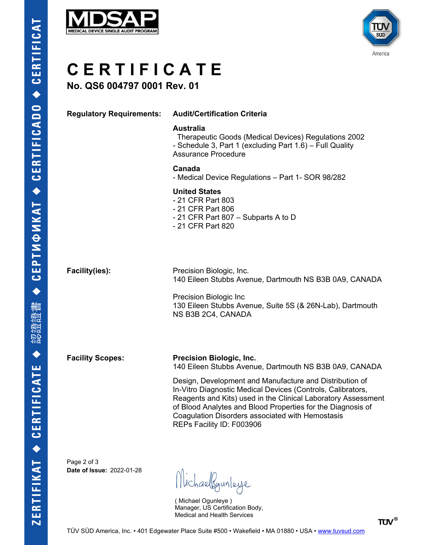



## **C E R T I F I C A T E**

### **No. QS6 004797 0001 Rev. 01**

#### **Regulatory Requirements: Audit/Certification Criteria**

#### **Australia**

 Therapeutic Goods (Medical Devices) Regulations 2002 - Schedule 3, Part 1 (excluding Part 1.6) – Full Quality Assurance Procedure

#### **Canada**

- Medical Device Regulations – Part 1- SOR 98/282

#### **United States**

- 21 CFR Part 803
- 21 CFR Part 806
- 21 CFR Part 807 Subparts A to D
- 21 CFR Part 820

**Facility(ies):** Precision Biologic, Inc. 140 Eileen Stubbs Avenue, Dartmouth NS B3B 0A9, CANADA

> Precision Biologic Inc 130 Eileen Stubbs Avenue, Suite 5S (& 26N-Lab), Dartmouth NS B3B 2C4, CANADA

**Facility Scopes: Precision Biologic, Inc.** 140 Eileen Stubbs Avenue, Dartmouth NS B3B 0A9, CANADA

> Design, Development and Manufacture and Distribution of In-Vitro Diagnostic Medical Devices (Controls, Calibrators, Reagents and Kits) used in the Clinical Laboratory Assessment of Blood Analytes and Blood Properties for the Diagnosis of Coagulation Disorders associated with Hemostasis REPs Facility ID: F003906

Page 2 of 3 **Date of Issue:** 2022-01-28

Michaelgunleye

( Michael Ogunleye ) Manager, US Certification Body, Medical and Health Services